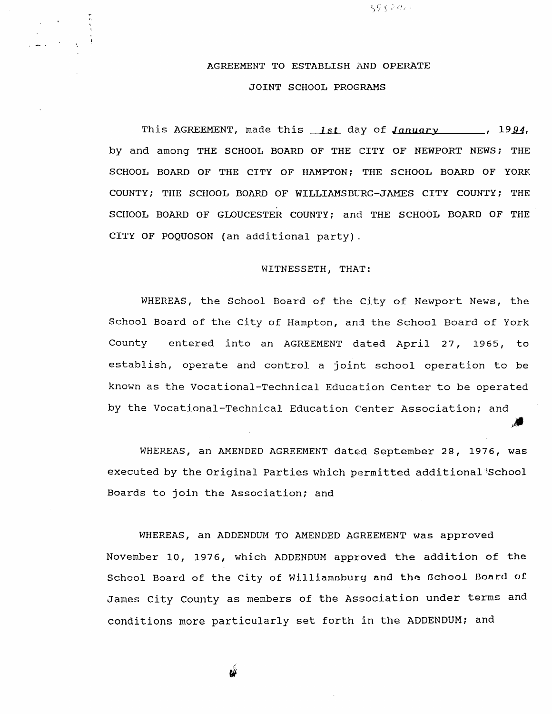AGREEMENT TO ESTABLISH AND OPERATE JOINT SCHOOL PROGRAMS

 $59.5$  2  $a_{\ell}$  :

i ,

This AGREEMENT, made this  $1st$  day of January , 1994, by and among THE SCHOOL BOARD OF THE CITY OF NEWPORT NEWS; THE SCHOOL BOARD OF THE CITY OF HAMPTON; THE SCHOOL BOARD OF YORK COUNTY; THE SCHOOL BOARD OF WILLIAMSBURG-JAMES CITY COUNTY; THE SCHOOL BOARD OF GLOUCESTER COUNTY; and THE SCHOOL BOARD OF THE CITY oF PoQUoSoN (an additional party)

## WITNESSETH, THAT:

WHEREAS, the School Board of the City of Newport News, the School Board of the City of Hampton, and the School Board of York County entered into an AGREEMENT dated April 27, 1965, to establish, operate and control a joint school operation to be known as the Vocational-Technical Education Center to be operated by the Vocational-Technical Education Center Association; and

WHEREAS, an AMENDED AGREEMENT dated September 28, 1976, was executed by the Original Parties which permitted additional School Boards to join the Association; and

WHEREAS, an ADDENDUM TO AMENDED AGREEMENT was approved November 10, 1976, which ADDENDUM approved the addition of the School Board of the City of Williamsburg and the School Board of James City County as members of the Association under terms and conditions more particularly set forth in the ADDENDUM; and

 $\mathbf{w}$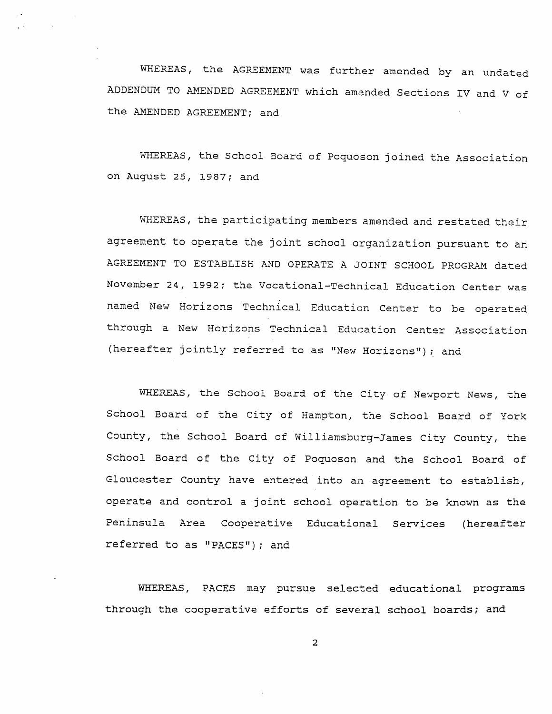WHEREAS, the AGREEMENT was further amended by an undated ADDENDUM TO AMENDED AGREEMENT which amended Sections IV and V of the AMENDED AGREEMENT; and

WHEREAS, the School Board of Poquoson joined the Association on August 25, 1987; and

WHEREAS, the participating members amended and restated their agreement to operate the joint school organization pursuant to an AGREEMENT TO ESTABLISH AND OPERATE A JOINT SCHOOL PROGRAM dated November 24, 1992; the Vocational-Technical Education Center was named New Horizons Technical Education Center to be operated through a New Horizons Technical Education Center Association (hereafter jointly referred to as "New Horizons"); and

WHEREAS, the School Board of the City of Newport News, the School Board of the City of Hampton, the School Board of York County, the School Board of Williamsburg-James City County, the School Board of the City of Poquoson and the School Board of Gloucester County have entered into an agreement to establish, operate and control a joint school operation to be known as the Peninsula Area Cooperative Educational Services (hereafter referred to as "PACES"); and

WHEREAS, PACES may pursue selected educational programs through the cooperative efforts of several school boards; and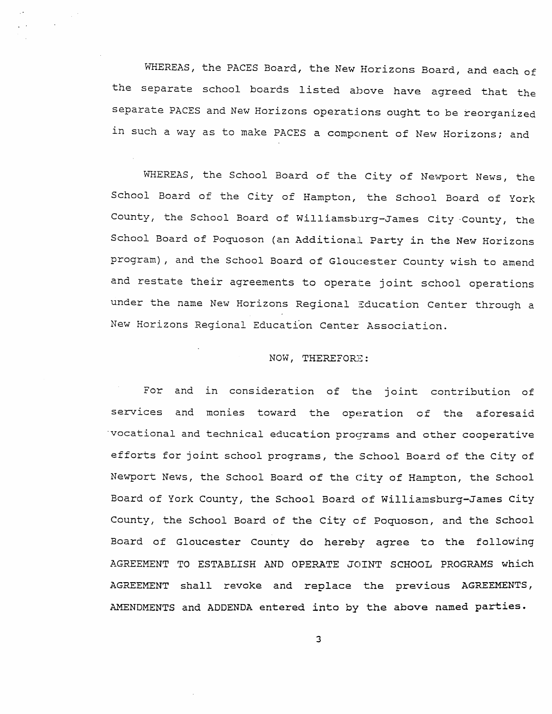WHEREAS, the PACES Board, the New Horizons Board, and each of the separate school boards listed above have agreed that the separate PACES and New Horizons operations ought to be reorganized in such a way as to make PACES a component of New Horizons; and

WHEREAS, the School Board of the City of Newport News, the School Board of the City of Hampton, the School Board of York County, the School Board of Williamsburg-James City County, the School Board of Poquoson (an Additional Party in the New Horizons program), and the School Board of Gloucester County wish to amend and restate their agreements to operate joint school operations under the name New Horizons Regional Education Center through a New Horizons Regional Education Center Association.

## NOW, THEREFORE:

For and in consideration of the joint contribution of services and monies toward the operation of the aforesaid 'vocational and technical education programs and other cooperative efforts for joint school programs, the School Board of the City of Newport News, the School Board of the City of Hampton, the School Board of York County, the School Board of Williamsburg-James City County, the School Board of the City of Poquoson, and the School Board of Gloucester County do hereby agree to the following AGREEMENT TO ESTABLISH AND OPERATE JOINT SCHOOL PROGRAMS which AGREEMENT shall revoke and replace the previous AGREEMENTS, AMENDMENTS and ADDENDA entered into by the above named parties.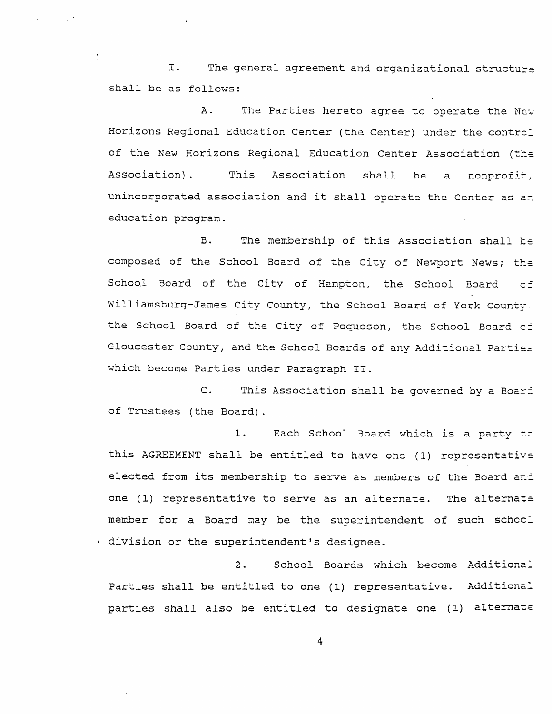I. The general agreement and organizational structure shall be as follows:

The Parties hereto agree to operate the New  $A$ . Horizons Regional Education Center (the Center) under the control of the New Horizons Regional Education Center Association (the Association). This Association shall be  $\mathsf{a}$ nonprofit, unincorporated association and it shall operate the Center as an education program.

The membership of this Association shall be B. composed of the School Board of the City of Newport News; the School Board of the City of Hampton, the School Board  $C \stackrel{=}{=}$ Williamsburg-James City County, the School Board of York County, the School Board of the City of Poquoson, the School Board cf Gloucester County, and the School Boards of any Additional Parties which become Parties under Paragraph II.

This Association shall be governed by a Boart  $\mathsf{C}$ . of Trustees (the Board).

 $1.$ Each School Board which is a party to this AGREEMENT shall be entitled to have one (1) representative elected from its membership to serve as members of the Board and one (1) representative to serve as an alternate. The alternate member for a Board may be the superintendent of such schocl division or the superintendent's designee.

 $2.$ School Boards which become Additional Parties shall be entitled to one (1) representative. Additional parties shall also be entitled to designate one (1) alternate

 $\frac{4}{3}$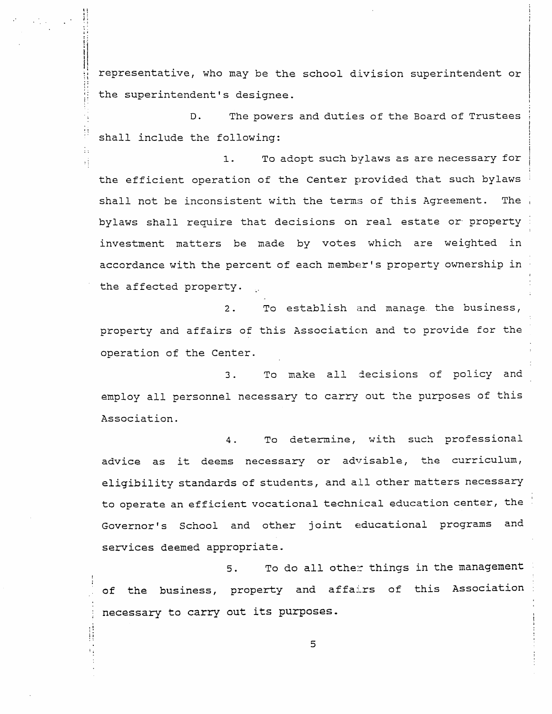representative, who may be the school division superintendent or the superintendent's designee.

The powers and duties of the Board of Trustees  $D$ . shall include the following:

To adopt such bylaws as are necessary for  $1.$ the efficient operation of the Center provided that such bylaws shall not be inconsistent with the terms of this Agreement. The bylaws shall require that decisions on real estate or property investment matters be made by votes which are weighted in accordance with the percent of each member's property ownership in the affected property.

 $2.$ To establish and manage the business, property and affairs of this Association and to provide for the operation of the Center.

To make all decisions of policy and  $\overline{3}$ . employ all personnel necessary to carry out the purposes of this Association.

To determine, with such professional  $4.$ advice as it deems necessary or advisable, the curriculum, eligibility standards of students, and all other matters necessary to operate an efficient vocational technical education center, the Governor's School and other joint educational programs and services deemed appropriate.

To do all other things in the management  $5.$ of the business, property and affairs of this Association necessary to carry out its purposes.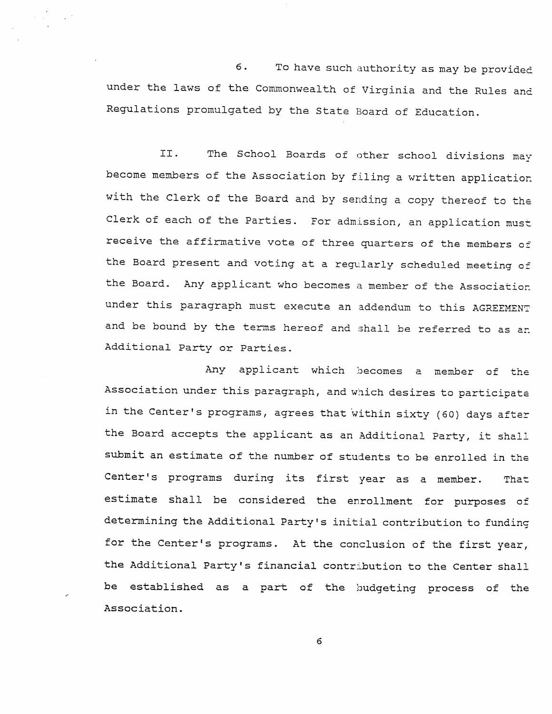6. To have such authority as may be provide under the laws of the Commonwealth of Virginia and the Rules and Regulations promulgated by the State Board of Education

II. The School Boards of other school divisions may become members of the Association by filing a written application with the Clerk of the Board and by sending a copy thereof to the Clerk of each of the Parties. For admission, an application must receive the affirmative vote of three quarters of the members of the Board present and voting at a regularly scheduled meeting of the Board. Any applicant who becomes a member of the Association under this paragraph must execute an addendum to this AGREEMENT and be bound by the terms hereof and shall be referred to as an Additional party or parties.

Any applicant which becomes a member of the Association under this paragraph, and which desires to participate in the Center's programs, agrees that within sixty (60) days after the Board accepts the applicant as an Additional Party, it shall submit an estimate of the number of students to be enrolled in the Center's programs during its first year as a member. That estimate shall be considered the enrollment for purposes of determining the Additional Party's initial contribution to funding for the Center's programs. At the conclusion of the first year, the Additional Party's financial contribution to the Center shall be established as a part of the budgeting process of the Association.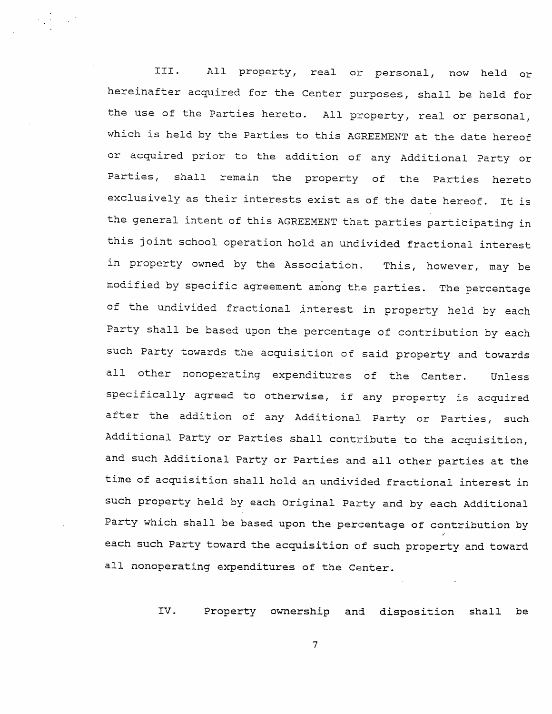III. All property, real or personal, now held or hereinafter acquired for the Center purposes, shall be held for the use of the Parties hereto. All property, real or personal, which is held by the Parties to this AGREEMENT at the date hereof or acquired prior to the addition of any Additional Party or Parties, shall remain the property of the parties hereto exclusively as their interests exist as of the date hereof. It is the general intent of this AGREEMENT that parties participating in this joint school operation hold an undivided fractional interest in property owned by the Association. This, however, may be modified by specific agreement among the parties. The percentage of the undivided fractional interest in property held by each Party shall be based upon the percentage of contribution by each such Party towards the acquisition of said property and towards all other nonoperating expenditures of the Center. Unless specifically agreed to otherwise, if any property is acquired after the addition of any Additional Party or Parties, such Additional Party or Parties shall contribute to the acquisition, and such Additional Party or Parties and all other parties at the time of acquisition shall hold an undivided fractional interest in such property held by each Original Party and by each Additional Party which shall be based upon the percentage of contribution by each such Party toward the acquisition of such property and toward all nonoperating expenditures of the Center.

IV. Property ownership and disposition shall be

 $\overline{7}$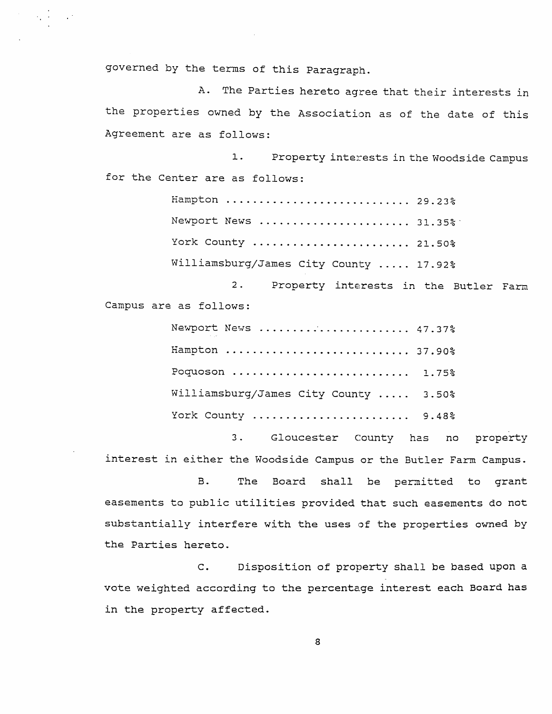governed by the terms of this Paragraph.

 $\mathcal{L}^{\text{max}}_{\text{max}}$  and  $\mathcal{L}^{\text{max}}_{\text{max}}$ 

A. The Parties hereto agree that their interests in the properties owned by the Association as of the date of this Agreement are as follows:

Property interests in the Woodside Campus  $\mathbf 1$ . for the Center are as follows:

> Hampton ........................... 29.23% Newport News ....................... 31.35% York County ........................ 21.50% Williamsburg/James City County ..... 17.92%

 $2.$ Property interests in the Butler Farm Campus are as follows:

| Newport News  47.37%                  |  |
|---------------------------------------|--|
| Hampton  37.90%                       |  |
| Poquoson  1.75%                       |  |
| Williamsburg/James City County  3.50% |  |
| York County  9.48%                    |  |

 $3.$ Gloucester County has no property interest in either the Woodside Campus or the Butler Farm Campus.

**B.** The Board shall be permitted to grant easements to public utilities provided that such easements do not substantially interfere with the uses of the properties owned by the Parties hereto.

Disposition of property shall be based upon a  $\mathsf{C}$ . vote weighted according to the percentage interest each Board has in the property affected.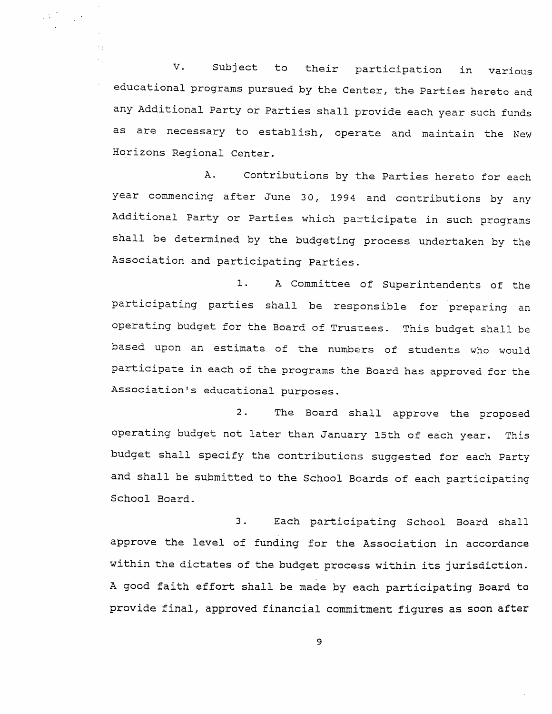V. Subject to their participation in various educational programs pursued by the Center, the Parties hereto and any Additional Party or Parties shall provide each year such funds as are necessary to establish, operate and maintain the New Horizons Regional Center.

 $\label{eq:2.1} \frac{1}{2} \sum_{i=1}^n \frac{1}{2} \sum_{j=1}^n \frac{1}{2} \sum_{j=1}^n \frac{1}{2} \sum_{j=1}^n \frac{1}{2} \sum_{j=1}^n \frac{1}{2} \sum_{j=1}^n \frac{1}{2} \sum_{j=1}^n \frac{1}{2} \sum_{j=1}^n \frac{1}{2} \sum_{j=1}^n \frac{1}{2} \sum_{j=1}^n \frac{1}{2} \sum_{j=1}^n \frac{1}{2} \sum_{j=1}^n \frac{1}{2} \sum_{j=1}^n \frac{$ 

 $\mathcal{F}(\underline{r})$ 

 $A$ . Contributions by the Parties hereto for each year commencing after June 30, 1994 and contributions by any Additional Party or Parties which participate in such programs shall be determined by the budgeting process undertaken by the Association and participating Parties.

 $1.$ A Committee of Superintendents of the participating parties shall be responsible for preparing an operating budget for the Board of Trustees. This budget shall be based upon an estimate of the numbers of students who would participate in each of the programs the Board has approved for the Association's educational purposes.

The Board shall approve the proposed  $2.$ operating budget not later than January 15th of each year. This budget shall specify the contributions suggested for each Party and shall be submitted to the School Boards of each participating School Board.

 $3.$ Each participating School Board shall approve the level of funding for the Association in accordance within the dictates of the budget process within its jurisdiction. A good faith effort shall be made by each participating Board to provide final, approved financial commitment figures as soon after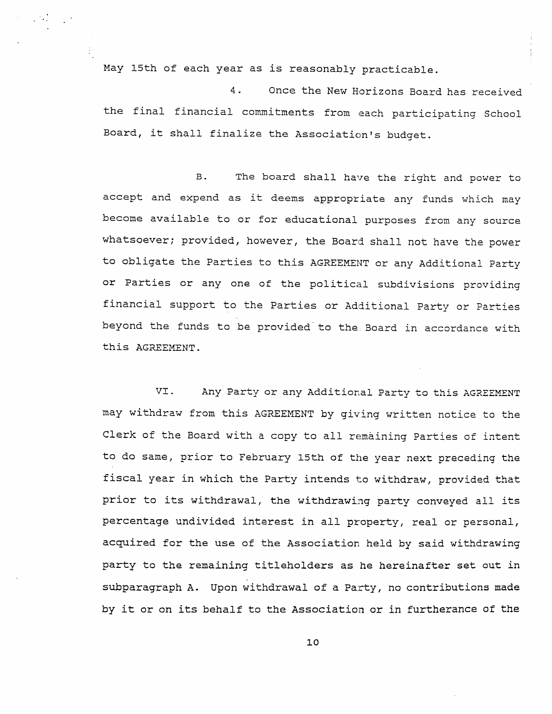May 15th of each year as is reasonably practicable.

4. Once the New Horizons Board has received the final financial commitments from each participating School Board, it shall finalize the Association's budget.

B. The board shall have the right and power to accept and expend as it deems appropriate any funds which may become available to or for educational purposes from any source whatsoever; provided, however, the Board shall not have the power to obligate the Parties to this AGREEMENT or any Additional Party or Parties or any one of the political subdivisions providing financial support to the Parties or Additional Party or Parties beyond the funds to be provided to the Board in accordance with this AGREEMENT.

VI. Any Party or any Additional Party to this AGREEMENT may withdraw from this AGREEMENT by giving written notice to the Clerk of the Board with a copy to all remaining Parties of intent to do same, prior to February 15th of the year next preceding the fiscal year in which the Party intends to withdraw, provided that prior to its withdrawal, the withdrawing party conveyed all its percentage undivided interest in all property, real or personal, acquired for the use of the Association held by said withdrawing party to the remaining titleholders as he hereinafter set out in subparagraph A. Upon withdrawal of a Party, no contributions made by it or on its behalf to the Association or in furtherance of the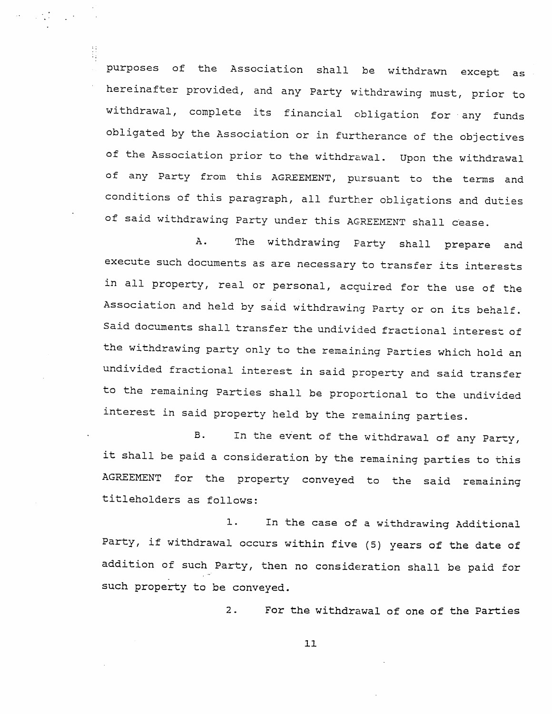purposes of the Association shalL be withdrawn except as hereinafter provided, and any Party withdrawing must, prior to withdrawal, complete its financial obligation for any funds obligated by the Association or in furtherance of the objectives of the Association prior to the withdrawal. Upon the withdrawal of any Party from this AGREEMENT, pursuant to the terms and conditions of this paragraph, all further obligations and duties of said withdrawing Party under this AGREEMENT shall cease.

A. The withdrawing Farty shall prepare and execute such documents as are necessary to transfer its interests in all property, real or personal, acquired for the use of the Association and held by said withdrawing Party or on its behalf. Said documents shall transfer the undivided fractional interest of the withdrawing party only to the remaining Parties which hold an undivided fractional interest in said property and said trans fer to the remaining Parties shall be proportional to the undivided interest in said property held by the remaining parties.

In the event of the withdrawal of any Party, it shall be paid a consideration by the remaining parties to this AGREEMENT for the property conveyed to the said remaining titleholders as follows:  $B<sub>-</sub>$ 

1. In the case of a withdrawing Additional Party, if withdrawal occurs within five (5) years of the date o: addition of such Party, then no consideration shall be paid for such property to be conveyed.

> For the withdrawal of one of the Parties 2 .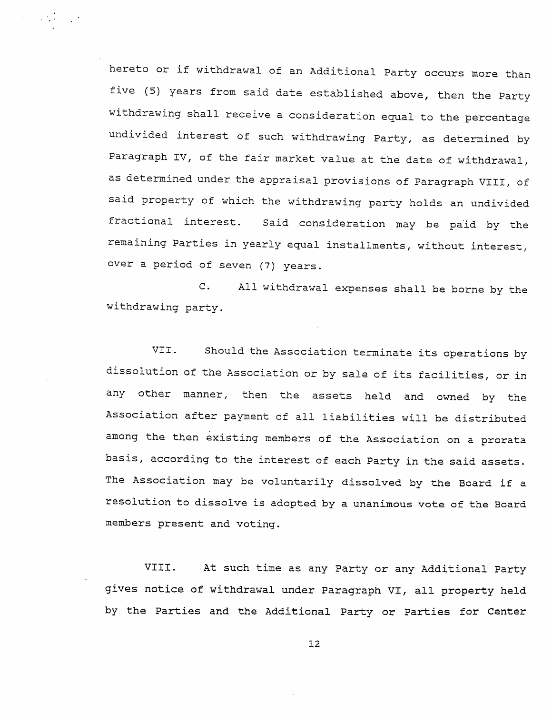hereto or if withdrawal of an Additional Party occurs more than five (5) years from said date established above, then the Party withdrawing shall receive a consideration equal to the percentage undivided interest of such withdrawing Party, as determined by Paragraph IV, of the fair market value at the date of withdrawal, as determined under the appraisal provisions of Paragraph VIII, of said property of which the withdrawing party holds an undivided fractional interest. Said consideration may be paid by the remaining Parties in yearly equal installments, without interest, over a period of seven (7) years.

 $C$ . withdrawing party. All withdrawal expenses shall be borne by the

VII. Should the Association terminate its operations by dissolution of the Association or by sale of its facilities, or in any other manner, then the assets held and owned. by the Association after payment of all liabilities will be distributed among the then existing members of the. Association on a prorata basis, according to the interest of each Party in the said assets. The Association may be voluntarily dissolved by the Board if a resolution to dissolve is adopted by a unanimous vote of the Board members present and voting.

VIII. At such tine as any Party or any Additional Party gives notice of withdrawal under Paragraph VI, all property held by the Parties and the Additional Party or Parties for Center

L2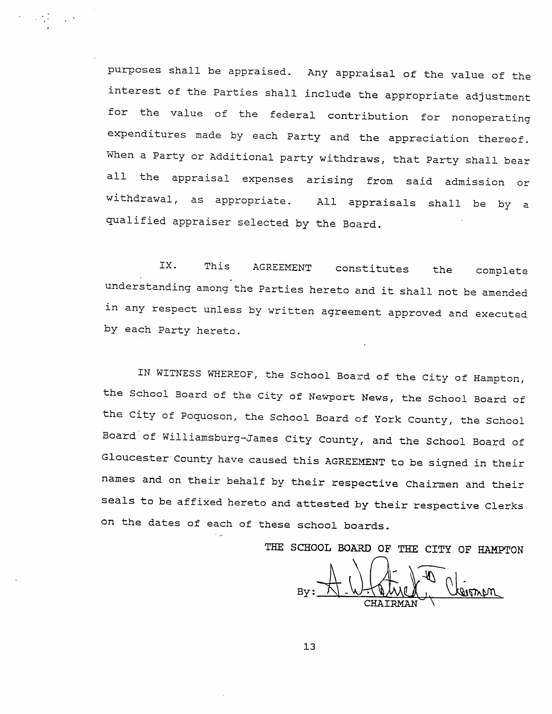purposes shall be appraised. Any appraisal of the value of the interest of the Parties shall include the appropriate adjustment for the value of the federal contribution for nonoperating expenditures made by each Party and the appreciation thereof. When a Party or Additional party withdraws, that Party shall bear all the appraisal expenses arising from said admission or withdrawal, as appropriate. All appraisals shall be by a qualified appraiser selected by the Board.

IX. This AGREEMENT constitutes the complete understanding among the Parties hereto and it shall not be amended in any respect unless by written agreement approved and executed by each Party hereto.

IN WITNESS WHEREOF, the School Board of the City of Hampton, the School Board of the City of Newport News, the School Board of the City of Poquoson, the School Board of York County, the School Board of Williamsburg-James City County, and the School Board of Gloucester County have caused this AGREEMENT to be signed in their names and on their behalf by their respective Chairmen and their seals to be affixed hereto and attested by their respective Clerks on the dates of each of these school boards.

THE SCHOOL BOARD OF THE CITY OF HAMPTON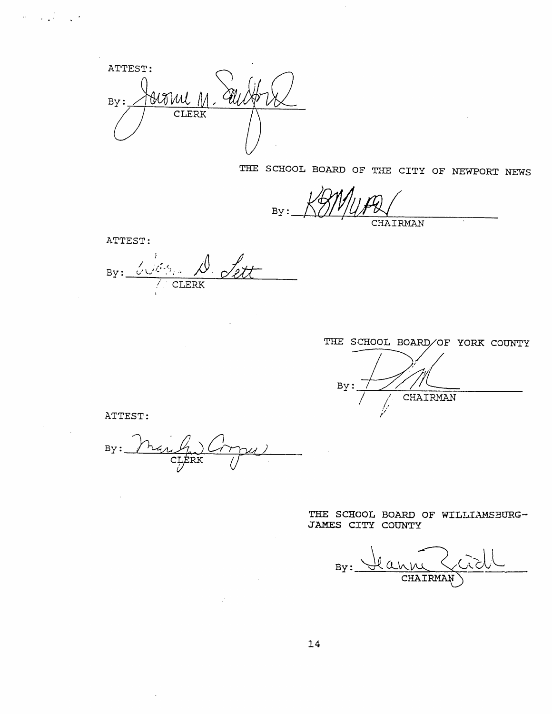ATTEST: Harril M  $By:$ **CLERK** 

THE SCHOOL BOARD OF THE CITY OF NEWPORT NEWS

 $By:$ CHAIRMAN

ATTEST:

 $\sigma_{\rm c}$  ,  $\sigma_{\rm c}$  ,  $\sigma_{\rm c}$  ,  $\sigma_{\rm c}$ 

By: Critis D. Lett

 $\ddot{\phantom{a}}$ 

THE SCHOOL BOARD/OF YORK COUNTY By: CHAIRMAN

ATTEST:

 $\mathcal{L}_{\mathrm{eff}}$ 

 $\ddot{\phantom{a}}$ 

nar (pr)  $puL$ By:

 $\sim 10^6$ 

THE SCHOOL BOARD OF WILLIAMSBURG-JAMES CITY COUNTY

<u>Ilanni</u>  $By:$ CHAIRMAN